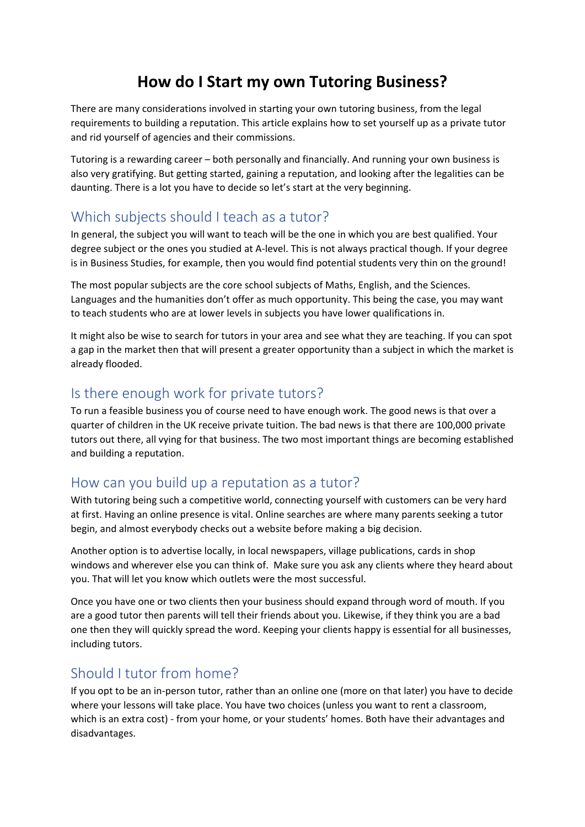# **How do I Start my own Tutoring Business?**

There are many considerations involved in starting your own tutoring business, from the legal requirements to building a reputation. This article explains how to set yourself up as a private tutor and rid yourself of agencies and their commissions.

Tutoring is a rewarding career – both personally and financially. And running your own business is also very gratifying. But getting started, gaining a reputation, and looking after the legalities can be daunting. There is a lot you have to decide so let's start at the very beginning.

## Which subjects should I teach as a tutor?

In general, the subject you will want to teach will be the one in which you are best qualified. Your degree subject or the ones you studied at A-level. This is not always practical though. If your degree is in Business Studies, for example, then you would find potential students very thin on the ground!

The most popular subjects are the core school subjects of Maths, English, and the Sciences. Languages and the humanities don't offer as much opportunity. This being the case, you may want to teach students who are at lower levels in subjects you have lower qualifications in.

It might also be wise to search for tutors in your area and see what they are teaching. If you can spot a gap in the market then that will present a greater opportunity than a subject in which the market is already flooded.

#### Is there enough work for private tutors?

To run a feasible business you of course need to have enough work. The good news is that over a quarter of children in the UK receive private tuition. The bad news is that there are 100,000 private tutors out there, all vying for that business. The two most important things are becoming established and building a reputation.

#### How can you build up a reputation as a tutor?

With tutoring being such a competitive world, connecting yourself with customers can be very hard at first. Having an online presence is vital. Online searches are where many parents seeking a tutor begin, and almost everybody checks out a website before making a big decision.

Another option is to advertise locally, in local newspapers, village publications, cards in shop windows and wherever else you can think of. Make sure you ask any clients where they heard about you. That will let you know which outlets were the most successful.

Once you have one or two clients then your business should expand through word of mouth. If you are a good tutor then parents will tell their friends about you. Likewise, if they think you are a bad one then they will quickly spread the word. Keeping your clients happy is essential for all businesses, including tutors.

## Should I tutor from home?

If you opt to be an in-person tutor, rather than an online one (more on that later) you have to decide where your lessons will take place. You have two choices (unless you want to rent a classroom, which is an extra cost) - from your home, or your students' homes. Both have their advantages and disadvantages.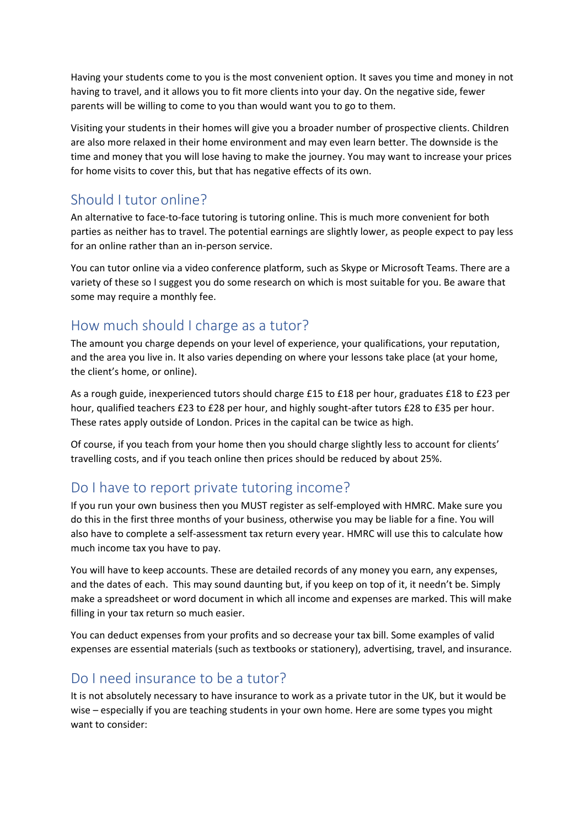Having your students come to you is the most convenient option. It saves you time and money in not having to travel, and it allows you to fit more clients into your day. On the negative side, fewer parents will be willing to come to you than would want you to go to them.

Visiting your students in their homes will give you a broader number of prospective clients. Children are also more relaxed in their home environment and may even learn better. The downside is the time and money that you will lose having to make the journey. You may want to increase your prices for home visits to cover this, but that has negative effects of its own.

#### Should I tutor online?

An alternative to face-to-face tutoring is tutoring online. This is much more convenient for both parties as neither has to travel. The potential earnings are slightly lower, as people expect to pay less for an online rather than an in-person service.

You can tutor online via a video conference platform, such as Skype or Microsoft Teams. There are a variety of these so I suggest you do some research on which is most suitable for you. Be aware that some may require a monthly fee.

## How much should I charge as a tutor?

The amount you charge depends on your level of experience, your qualifications, your reputation, and the area you live in. It also varies depending on where your lessons take place (at your home, the client's home, or online).

As a rough guide, inexperienced tutors should charge £15 to £18 per hour, graduates £18 to £23 per hour, qualified teachers £23 to £28 per hour, and highly sought-after tutors £28 to £35 per hour. These rates apply outside of London. Prices in the capital can be twice as high.

Of course, if you teach from your home then you should charge slightly less to account for clients' travelling costs, and if you teach online then prices should be reduced by about 25%.

## Do I have to report private tutoring income?

If you run your own business then you MUST register as self-employed with HMRC. Make sure you do this in the first three months of your business, otherwise you may be liable for a fine. You will also have to complete a self-assessment tax return every year. HMRC will use this to calculate how much income tax you have to pay.

You will have to keep accounts. These are detailed records of any money you earn, any expenses, and the dates of each. This may sound daunting but, if you keep on top of it, it needn't be. Simply make a spreadsheet or word document in which all income and expenses are marked. This will make filling in your tax return so much easier.

You can deduct expenses from your profits and so decrease your tax bill. Some examples of valid expenses are essential materials (such as textbooks or stationery), advertising, travel, and insurance.

## Do I need insurance to be a tutor?

It is not absolutely necessary to have insurance to work as a private tutor in the UK, but it would be wise – especially if you are teaching students in your own home. Here are some types you might want to consider: